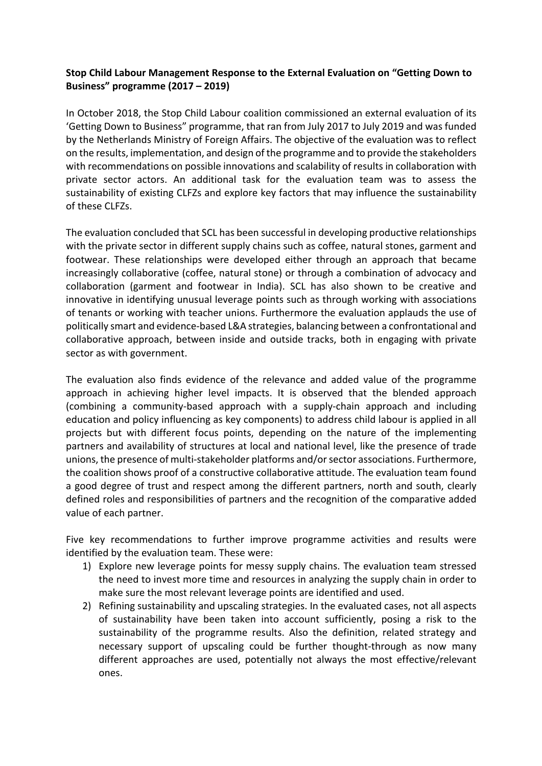## **Stop Child Labour Management Response to the External Evaluation on "Getting Down to Business" programme (2017 – 2019)**

In October 2018, the Stop Child Labour coalition commissioned an external evaluation of its 'Getting Down to Business" programme, that ran from July 2017 to July 2019 and was funded by the Netherlands Ministry of Foreign Affairs. The objective of the evaluation was to reflect on the results, implementation, and design of the programme and to provide the stakeholders with recommendations on possible innovations and scalability of results in collaboration with private sector actors. An additional task for the evaluation team was to assess the sustainability of existing CLFZs and explore key factors that may influence the sustainability of these CLFZs.

The evaluation concluded that SCL has been successful in developing productive relationships with the private sector in different supply chains such as coffee, natural stones, garment and footwear. These relationships were developed either through an approach that became increasingly collaborative (coffee, natural stone) or through a combination of advocacy and collaboration (garment and footwear in India). SCL has also shown to be creative and innovative in identifying unusual leverage points such as through working with associations of tenants or working with teacher unions. Furthermore the evaluation applauds the use of politically smart and evidence-based L&A strategies, balancing between a confrontational and collaborative approach, between inside and outside tracks, both in engaging with private sector as with government.

The evaluation also finds evidence of the relevance and added value of the programme approach in achieving higher level impacts. It is observed that the blended approach (combining a community-based approach with a supply-chain approach and including education and policy influencing as key components) to address child labour is applied in all projects but with different focus points, depending on the nature of the implementing partners and availability of structures at local and national level, like the presence of trade unions, the presence of multi-stakeholder platforms and/or sector associations. Furthermore, the coalition shows proof of a constructive collaborative attitude. The evaluation team found a good degree of trust and respect among the different partners, north and south, clearly defined roles and responsibilities of partners and the recognition of the comparative added value of each partner.

Five key recommendations to further improve programme activities and results were identified by the evaluation team. These were:

- 1) Explore new leverage points for messy supply chains. The evaluation team stressed the need to invest more time and resources in analyzing the supply chain in order to make sure the most relevant leverage points are identified and used.
- 2) Refining sustainability and upscaling strategies. In the evaluated cases, not all aspects of sustainability have been taken into account sufficiently, posing a risk to the sustainability of the programme results. Also the definition, related strategy and necessary support of upscaling could be further thought-through as now many different approaches are used, potentially not always the most effective/relevant ones.